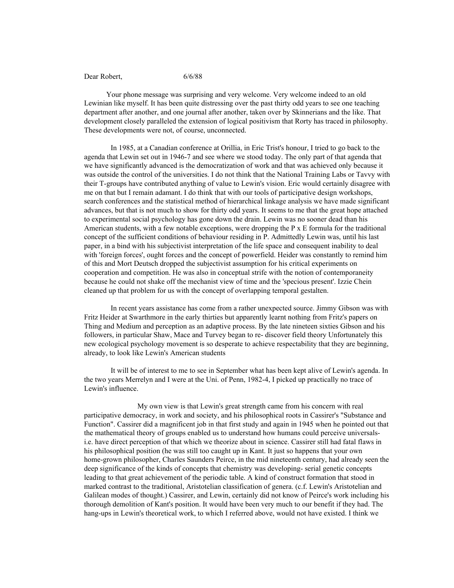## Dear Robert, 6/6/88

Your phone message was surprising and very welcome. Very welcome indeed to an old Lewinian like myself. It has been quite distressing over the past thirty odd years to see one teaching department after another, and one journal after another, taken over by Skinnerians and the like. That development closely paralleled the extension of logical positivism that Rorty has traced in philosophy. These developments were not, of course, unconnected.

In 1985, at a Canadian conference at Orillia, in Eric Trist's honour, I tried to go back to the agenda that Lewin set out in 1946-7 and see where we stood today. The only part of that agenda that we have significantly advanced is the democratization of work and that was achieved only because it was outside the control of the universities. I do not think that the National Training Labs or Tavvy with their T-groups have contributed anything of value to Lewin's vision. Eric would certainly disagree with me on that but I remain adamant. I do think that with our tools of participative design workshops, search conferences and the statistical method of hierarchical linkage analysis we have made significant advances, but that is not much to show for thirty odd years. It seems to me that the great hope attached to experimental social psychology has gone down the drain. Lewin was no sooner dead than his American students, with a few notable exceptions, were dropping the  $P \times E$  formula for the traditional concept of the sufficient conditions of behaviour residing in P. Admittedly Lewin was, until his last paper, in a bind with his subjectivist interpretation of the life space and consequent inability to deal with 'foreign forces', ought forces and the concept of powerfield. Heider was constantly to remind him of this and Mort Deutsch dropped the subjectivist assumption for his critical experiments on cooperation and competition. He was also in conceptual strife with the notion of contemporaneity because he could not shake off the mechanist view of time and the 'specious present'. Izzie Chein cleaned up that problem for us with the concept of overlapping temporal gestalten.

In recent years assistance has come from a rather unexpected source. Jimmy Gibson was with Fritz Heider at Swarthmore in the early thirties but apparently learnt nothing from Fritz's papers on Thing and Medium and perception as an adaptive process. By the late nineteen sixties Gibson and his followers, in particular Shaw, Mace and Turvey began to re- discover field theory Unfortunately this new ecological psychology movement is so desperate to achieve respectability that they are beginning, already, to look like Lewin's American students

It will be of interest to me to see in September what has been kept alive of Lewin's agenda. In the two years Merrelyn and I were at the Uni. of Penn, 1982-4, I picked up practically no trace of Lewin's influence.

My own view is that Lewin's great strength came from his concern with real participative democracy, in work and society, and his philosophical roots in Cassirer's "Substance and Function". Cassirer did a magnificent job in that first study and again in 1945 when he pointed out that the mathematical theory of groups enabled us to understand how humans could perceive universalsi.e. have direct perception of that which we theorize about in science. Cassirer still had fatal flaws in his philosophical position (he was still too caught up in Kant. It just so happens that your own home-grown philosopher, Charles Saunders Peirce, in the mid nineteenth century, had already seen the deep significance of the kinds of concepts that chemistry was developing- serial genetic concepts leading to that great achievement of the periodic table. A kind of construct formation that stood in marked contrast to the traditional, Aristotelian classification of genera. (c.f. Lewin's Aristotelian and Galilean modes of thought.) Cassirer, and Lewin, certainly did not know of Peirce's work including his thorough demolition of Kant's position. It would have been very much to our benefit if they had. The hang-ups in Lewin's theoretical work, to which I referred above, would not have existed. I think we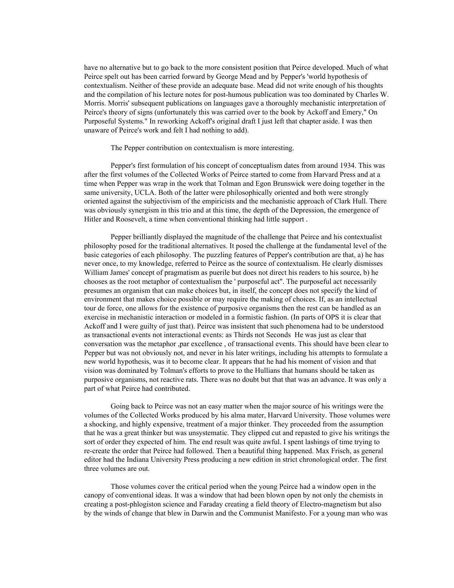have no alternative but to go back to the more consistent position that Peirce developed. Much of what Peirce spelt out has been carried forward by George Mead and by Pepper's 'world hypothesis of contextualism. Neither of these provide an adequate base. Mead did not write enough of his thoughts and the compilation of his lecture notes for post-humous publication was too dominated by Charles W. Morris. Morris' subsequent publications on languages gave a thoroughly mechanistic interpretation of Peirce's theory of signs (unfortunately this was carried over to the book by Ackoff and Emery," On Purposeful Systems." In reworking Ackoff's original draft I just left that chapter aside. I was then unaware of Peirce's work and felt I had nothing to add).

## The Pepper contribution on contextualism is more interesting.

Pepper's first formulation of his concept of conceptualism dates from around 1934. This was after the first volumes of the Collected Works of Peirce started to come from Harvard Press and at a time when Pepper was wrap in the work that Tolman and Egon Brunswick were doing together in the same university, UCLA. Both of the latter were philosophically oriented and both were strongly oriented against the subjectivism of the empiricists and the mechanistic approach of Clark Hull. There was obviously synergism in this trio and at this time, the depth of the Depression, the emergence of Hitler and Roosevelt, a time when conventional thinking had little support .

Pepper brilliantly displayed the magnitude of the challenge that Peirce and his contextualist philosophy posed for the traditional alternatives. It posed the challenge at the fundamental level of the basic categories of each philosophy. The puzzling features of Pepper's contribution are that, a) he has never once, to my knowledge, referred to Peirce as the source of contextualism. He clearly dismisses William James' concept of pragmatism as puerile but does not direct his readers to his source, b) he chooses as the root metaphor of contextualism the ' purposeful act". The purposeful act necessarily presumes an organism that can make choices but, in itself, the concept does not specify the kind of environment that makes choice possible or may require the making of choices. If, as an intellectual tour de force, one allows for the existence of purposive organisms then the rest can be handled as an exercise in mechanistic interaction or modeled in a formistic fashion. (In parts of OPS it is clear that Ackoff and I were guilty of just that). Peirce was insistent that such phenomena had to be understood as transactional events not interactional events: as Thirds not Seconds He was just as clear that conversation was the metaphor ,par excellence , of transactional events. This should have been clear to Pepper but was not obviously not, and never in his later writings, including his attempts to formulate a new world hypothesis, was it to become clear. It appears that he had his moment of vision and that vision was dominated by Tolman's efforts to prove to the Hullians that humans should be taken as purposive organisms, not reactive rats. There was no doubt but that that was an advance. It was only a part of what Peirce had contributed.

Going back to Peirce was not an easy matter when the major source of his writings were the volumes of the Collected Works produced by his alma mater, Harvard University. Those volumes were a shocking, and highly expensive, treatment of a major thinker. They proceeded from the assumption that he was a great thinker but was unsystematic. They clipped cut and repasted to give his writings the sort of order they expected of him. The end result was quite awful. I spent lashings of time trying to re-create the order that Peirce had followed. Then a beautiful thing happened. Max Frisch, as general editor had the Indiana University Press producing a new edition in strict chronological order. The first three volumes are out.

Those volumes cover the critical period when the young Peirce had a window open in the canopy of conventional ideas. It was a window that had been blown open by not only the chemists in creating a post-phlogiston science and Faraday creating a field theory of Electro-magnetism but also by the winds of change that blew in Darwin and the Communist Manifesto. For a young man who was